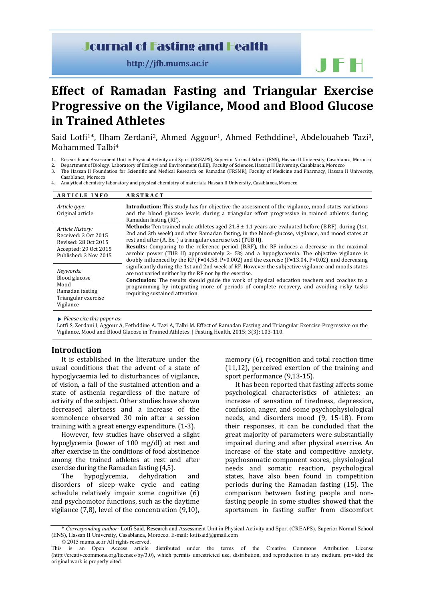## **Journal of Fasting and Health**

http://jfh.mums.ac.ir

JFH

# **Effect of Ramadan Fasting and Triangular Exercise Progressive on the Vigilance, Mood and Blood Glucose in Trained Athletes**

Said Lotfi<sup>1\*</sup>, Ilham Zerdani<sup>2</sup>, Ahmed Aggour<sup>1</sup>, Ahmed Fethddine<sup>1</sup>, Abdelouaheb Tazi<sup>3</sup>, Mohammed Talbi4

- 1. Research and Assessment Unit in Physical Activity and Sport (CREAPS), Superior Normal School (ENS), Hassan II University, Casablanca, Morocco
- 2. Department of Biology. Laboratory of Ecology and Environment (LEE). Faculty of Sciences, Hassan II University, Casablanca, Morocco
- 3. The Hassan II Foundation for Scientific and Medical Research on Ramadan (FRSMR), Faculty of Medicine and Pharmacy, Hassan II University,
- Casablanca, Morocco
- 4. Analytical chemistry laboratory and physical chemistry of materials, Hassan II University, Casablanca, Morocco

| <b>ARTICLE INFO</b>                                                                                                | <b>ABSTRACT</b>                                                                                                                                                                                                                                                                                                                                                                                                                                                                                                                                                                                    |  |  |  |  |
|--------------------------------------------------------------------------------------------------------------------|----------------------------------------------------------------------------------------------------------------------------------------------------------------------------------------------------------------------------------------------------------------------------------------------------------------------------------------------------------------------------------------------------------------------------------------------------------------------------------------------------------------------------------------------------------------------------------------------------|--|--|--|--|
| Article type:<br>Original article                                                                                  | <b>Introduction:</b> This study has for objective the assessment of the vigilance, mood states variations<br>and the blood glucose levels, during a triangular effort progressive in trained athletes during<br>Ramadan fasting (RF).                                                                                                                                                                                                                                                                                                                                                              |  |  |  |  |
| Article History:<br>Received: 3 Oct 2015<br>Revised: 28 Oct 2015<br>Accepted: 29 Oct 2015<br>Published: 3 Nov 2015 | <b>Methods:</b> Ten trained male athletes aged $21.8 \pm 1.1$ years are evaluated before (B.RF), during (1st,<br>2nd and 3th week) and after Ramadan fasting, in the blood-glucose, vigilance, and mood states at<br>rest and after (A. Ex.) a triangular exercise test (TUB II).<br><b>Results:</b> Comparing to the reference period (B.RF), the RF induces a decrease in the maximal<br>aerobic power (TUB II) approximately 2- 5% and a hypoglycaemia. The objective vigilance is<br>doubly influenced by the RF ( $F=14.58$ , P<0.002) and the exercise ( $F=13.04$ , P<0.02), and decreasing |  |  |  |  |
| Keywords:<br>Blood glucose<br>Mood<br>Ramadan fasting<br>Triangular exercise<br>Vigilance                          | significantly during the 1st and 2nd week of RF. However the subjective vigilance and moods states<br>are not varied neither by the RF nor by the exercise.<br><b>Conclusion:</b> The results should guide the work of physical education teachers and coaches to a<br>programming by integrating more of periods of complete recovery, and avoiding risky tasks<br>requiring sustained attention.                                                                                                                                                                                                 |  |  |  |  |

*Please cite this paper as*:

Lotfi S, Zerdani I, Aggour A, Fethddine A. Tazi A, Talbi M. Effect of Ramadan Fasting and Triangular Exercise Progressive on the Vigilance, Mood and Blood Glucose in Trained Athletes. J Fasting Health. 2015; 3(3): 103-110.

#### **Introduction**

It is established in the literature under the usual conditions that the advent of a state of hypoglycaemia led to disturbances of vigilance, of vision, a fall of the sustained attention and a state of asthenia regardless of the nature of activity of the subject. Other studies have shown decreased alertness and a increase of the somnolence observed 30 min after a session training with a great energy expenditure. (1-3).

However, few studies have observed a slight hypoglycemia (lower of 100 mg/dl) at rest and after exercise in the conditions of food abstinence among the trained athletes at rest and after exercise during the Ramadan fasting (4,5).<br>The hypoglycemia, dehydration

hypoglycemia, dehydration and disorders of sleep–wake cycle and eating schedule relatively impair some cognitive (6) and psychomotor functions, such as the daytime vigilance (7,8), level of the concentration (9,10), memory (6), recognition and total reaction time (11,12), perceived exertion of the training and sport performance (9,13-15).

It has been reported that fasting affects some psychological characteristics of athletes: an increase of sensation of tiredness, depression, confusion, anger, and some psychophysiological needs, and disorders mood (9, 15-18). From their responses, it can be concluded that the great majority of parameters were substantially impaired during and after physical exercise. An increase of the state and competitive anxiety, psychosomatic component scores, physiological needs and somatic reaction, psychological states, have also been found in competition periods during the Ramadan fasting (15). The comparison between fasting people and nonfasting people in some studies showed that the sportsmen in fasting suffer from discomfort

<sup>\*</sup> *Corresponding author:* Lotfi Said, Research and Assessment Unit in Physical Activity and Sport (CREAPS), Superior Normal School (ENS), Hassan II University, Casablanca, Morocco. E-mail: [lotfisaid@gmail.com](mailto:lotfisaid@gmail.com)

<sup>© 2015</sup> mums.ac.ir All rights reserved. distributed under the terms of the Creative Commons Attribution License (http://creativecommons.org/licenses/by/3.0), which permits unrestricted use, distribution, and reproduction in any medium, provided the original work is properly cited.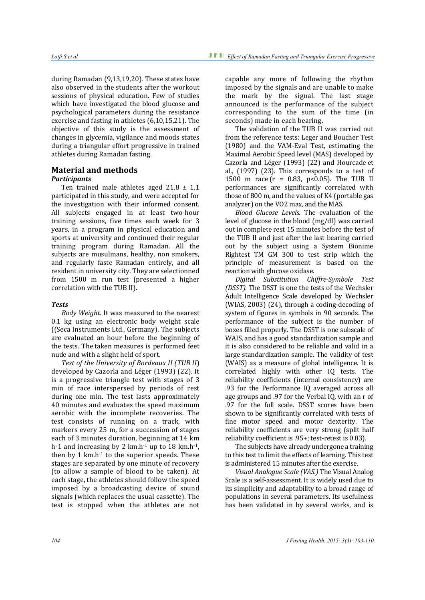during Ramadan (9,13,19,20). These states have also observed in the students after the workout sessions of physical education. Few of studies which have investigated the blood glucose and psychological parameters during the resistance exercise and fasting in athletes (6,10,15,21). The objective of this study is the assessment of changes in glycemia, vigilance and moods states during a triangular effort progressive in trained athletes during Ramadan fasting.

## **Material and methods**

## *Participants*

Ten trained male athletes aged  $21.8 \pm 1.1$ participated in this study, and were accepted for the investigation with their informed consent. All subjects engaged in at least two-hour training sessions, five times each week for 3 years, in a program in physical education and sports at university and continued their regular training program during Ramadan. All the subjects are musulmans, healthy, non smokers, and regularly faste Ramadan entirely, and all resident in university city. They are selectionned from 1500 m run test (presented a higher correlation with the TUB II).

## *Tests*

*Body Weight.* It was measured to the nearest 0.1 kg using an electronic body weight scale ((Seca Instruments Ltd., Germany). The subjects are evaluated an hour before the beginning of the tests. The taken measures is performed feet nude and with a slight held of sport.

*Test of the University of Bordeaux II (TUB II*) developed by Cazorla and Léger (1993) (22). It is a progressive triangle test with stages of 3 min of race interspersed by periods of rest during one min. The test lasts approximately 40 minutes and evaluates the speed maximum aerobic with the incomplete recoveries. The test consists of running on a track, with markers every 25 m, for a succession of stages each of 3 minutes duration, beginning at 14 km h-1 and increasing by 2 km.h<sup>-1</sup> up to 18 km.h<sup>-1</sup>, then by 1 km.h<sup>-1</sup> to the superior speeds. These stages are separated by one minute of recovery (to allow a sample of blood to be taken). At each stage, the athletes should follow the speed imposed by a broadcasting device of sound signals (which replaces the usual cassette). The test is stopped when the athletes are not

capable any more of following the rhythm imposed by the signals and are unable to make the mark by the signal. The last stage announced is the performance of the subject corresponding to the sum of the time (in seconds) made in each bearing.

The validation of the TUB II was carried out from the reference tests: Leger and Boucher Test (1980) and the VAM-Eval Test, estimating the Maximal Aerobic Speed level (MAS) developed by Cazorla and Léger (1993) (22) and Hourcade et al., (1997) (23). This corresponds to a test of 1500 m race  $(r = 0.83, p < 0.05)$ . The TUB II performances are significantly correlated with those of 800 m, and the values of K4 (portable gas analyzer) on the VO2 max, and the MAS.

*Blood Glucose Levels.* The evaluation of the level of glucose in the blood (mg/dl) was carried out in complete rest 15 minutes before the test of the TUB II and just after the last bearing carried out by the subject using a System Bionime Rightest TM GM 300 to test strip which the principle of measurement is based on the reaction with glucose oxidase.

*Digital Substitution Chiffre-Symbole Test (DSST).* The DSST is one the tests of the Wechsler Adult Intelligence Scale developed by Wechsler (WIAS, 2003) (24), through a coding-decoding of system of figures in symbols in 90 seconds. The performance of the subject is the number of boxes filled properly. The DSST is one subscale of WAIS, and has a good standardization sample and it is also considered to be reliable and valid in a large standardization sample. The validity of test (WAIS) as a measure of global intelligence. It is correlated highly with other IQ tests. The reliability coefficients (internal consistency) are .93 for the Performance IQ averaged across all age groups and .97 for the Verbal IQ, with an r of .97 for the full scale. DSST scores have been shown to be significantly correlated with tests of fine motor speed and motor dexterity. The reliability coefficients are very strong (split half reliability coefficient is .95+; test-retest is 0.83).

The subjects have already undergone a training to this test to limit the effects of learning. This test is administered 15 minutes after the exercise.

*Visual Analogue Scale (VAS.)* The Visual Analog Scale is a self-assessment. It is widely used due to its simplicity and adaptability to a broad range of populations in several parameters. Its usefulness has been validated in by several works, and is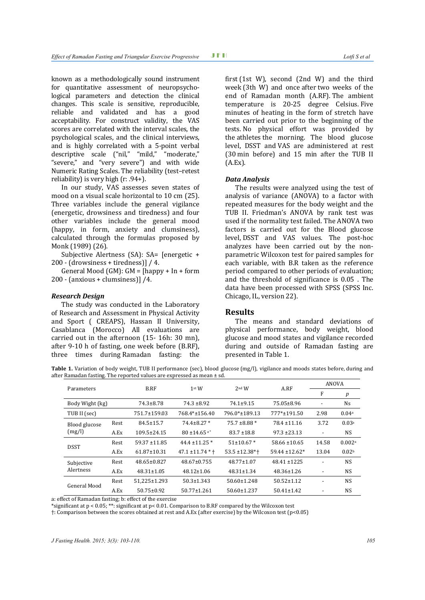known as a methodologically sound instrument for quantitative assessment of neuropsychological parameters and detection the clinical changes. This scale is sensitive, reproducible, reliable and validated and has a good acceptability. For construct validity, the VAS scores are correlated with the interval scales, the psychological scales, and the clinical interviews, and is highly correlated with a 5-point verbal descriptive scale ("nil," "mild," "moderate," "severe," and "very severe") and with wide Numeric Rating Scales. The reliability (test–retest reliability) is very high (r: .94+).

In our study, VAS assesses seven states of mood on a visual scale horizontal to 10 cm (25). Three variables include the general vigilance (energetic, drowsiness and tiredness) and four other variables include the general mood (happy, in form, anxiety and clumsiness), calculated through the formulas proposed by Monk (1989) (26).

Subjective Alertness (SA): SA= [energetic + 200 - (drowsiness + tiredness)] / 4.

General Mood (GM):  $GM = \{happy + In + form$ 200 - (anxious + clumsiness)] /4.

#### *Research Design*

The study was conducted in the Laboratory of Research and Assessment in Physical Activity and Sport ( CREAPS), Hassan II University, Casablanca (Morocco) All evaluations are carried out in the afternoon (15- 16h: 30 mn), after 9-10 h of fasting, one week before (B.RF), three times during Ramadan fasting: the

first (1st W), second (2nd W) and the third week (3th W) and once after two weeks of the end of Ramadan month (A.RF). The ambient temperature is 20-25 degree Celsius. Five minutes of heating in the form of stretch have been carried out prior to the beginning of the tests. No physical effort was provided by the athletes the morning. The blood glucose level, DSST and VAS are administered at rest (30 min before) and 15 min after the TUB II (A.Ex).

#### *Data Analysis*

The results were analyzed using the test of analysis of variance (ANOVA) to a factor with repeated measures for the body weight and the TUB II. Friedman's ANOVA by rank test was used if the normality test failed. The ANOVA two factors is carried out for the Blood glucose level, DSST and VAS values. The post-hoc analyzes have been carried out by the nonparametric Wilcoxon test for paired samples for each variable, with B.R taken as the reference period compared to other periods of evaluation; and the threshold of significance is 0.05 . The data have been processed with SPSS (SPSS Inc. Chicago, IL, version 22).

#### **Results**

The means and standard deviations of physical performance, body weight, blood glucose and mood states and vigilance recorded during and outside of Ramadan fasting are presented in Table 1.

Table 1. Variation of body weight, TUB II performance (sec), blood glucose (mg/l), vigilance and moods states before, during and after Ramadan fasting. The reported values are expressed as mean ± sd.

|                         |      | B.RF              | 1 <sup>st</sup> W            | $2nd$ W             | A.RF               | <b>ANOVA</b>   |                    |
|-------------------------|------|-------------------|------------------------------|---------------------|--------------------|----------------|--------------------|
| Parameters              |      |                   |                              |                     |                    | F              | p                  |
| Body Wight (kg)         |      | $74.3 \pm 8.78$   | $74.3 \pm 8.92$              | $74.1 \pm 9.15$     | 75.05±8.96         |                | Ns                 |
| TUB II (sec)            |      | 751.7±159.03      | 768.4*±156.40                | 796.0*±189.13       | 777*±191.50        | 2.98           | 0.04 <sup>a</sup>  |
| Blood glucose<br>(mg/l) | Rest | $84.5 \pm 15.7$   | $74.4 \pm 8.27$ *            | $75.7 \pm 8.88$ *   | $78.4 \pm 11.16$   | 3.72           | 0.03 <sup>a</sup>  |
|                         | A.Ex | $109.5 \pm 24.15$ | $80 \pm 14.65$ <sup>a*</sup> | $83.7 \pm 18.8$     | $97.3 \pm 23.13$   |                | <b>NS</b>          |
| <b>DSST</b>             | Rest | $59.37 \pm 11.85$ | 44.4 ± 11.25 $*$             | $51\pm10.67*$       | $58.66 \pm 10.65$  | 14.58          | 0.002 <sup>a</sup> |
|                         | A.Ex | $61.87 \pm 10.31$ | $47.1 \pm 11.74$ * $\dagger$ | $53.5 \pm 12.38$ *+ | $59.44 \pm 12.62*$ | 13.04          | 0.02 <sup>b</sup>  |
| Subjective<br>Alertness | Rest | 48.65±0.827       | $48.67 \pm 0.755$            | $48.77 \pm 1.07$    | $48.41 \pm 1225$   |                | <b>NS</b>          |
|                         | A.Ex | $48.31 \pm 1.05$  | $48.12 \pm 1.06$             | $48.31 \pm 1.34$    | $48.36 \pm 1.26$   | $\overline{a}$ | <b>NS</b>          |
| General Mood            | Rest | 51.225±1.293      | $50.3 \pm 1.343$             | $50.60 \pm 1.248$   | $50.52 \pm 1.12$   |                | <b>NS</b>          |
|                         | A.Ex | $50.75 \pm 0.92$  | $50.77 \pm 1.261$            | $50.60 \pm 1.237$   | $50.41 \pm 1.42$   |                | <b>NS</b>          |

a: effect of Ramadan fasting; b: effect of the exercise

\*significant at p < 0.05; \*\*: significant at p< 0.01. Comparison to B.RF compared by the Wilcoxon test

†: Comparison between the scores obtained at rest and A.Ex (after exercise) by the Wilcoxon test (p<0.05)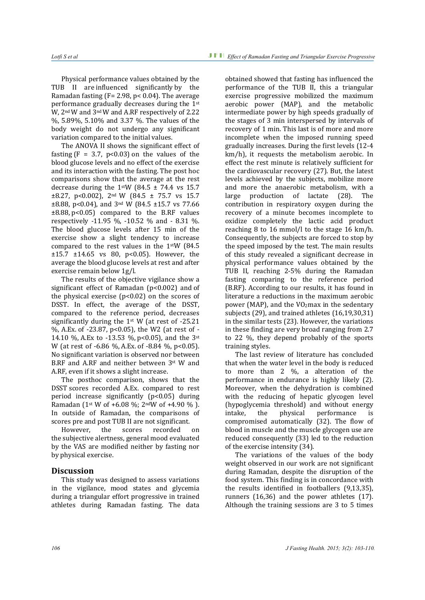Physical performance values obtained by the TUB II are influenced significantly by the Ramadan fasting ( $F = 2.98$ ,  $p < 0.04$ ). The average performance gradually decreases during the 1st W, 2nd W and 3nd W and A.RF respectively of 2.22 %, 5.89%, 5.10% and 3.37 %. The values of the body weight do not undergo any significant variation compared to the initial values.

The ANOVA II shows the significant effect of fasting  $(F = 3.7, p<0.03)$  on the values of the blood glucose levels and no effect of the exercise and its interaction with the fasting. The post hoc comparisons show that the average at the rest decrease during the 1stW (84.5  $\pm$  74.4 vs 15.7  $\pm 8.27$ , p<0.002), 2<sup>nd</sup> W (84.5  $\pm$  75.7 vs 15.7 ±8.88, p<0.04), and 3nd W (84.5 ±15.7 vs 77.66  $\pm 8.88$ , p<0.05) compared to the B.RF values respectively -11.95 %, -10.52 % and - 8.31 %. The blood glucose levels after 15 min of the exercise show a slight tendency to increase compared to the rest values in the 1stW (84.5  $±15.7 ±14.65$  vs 80, p<0.05). However, the average the blood glucose levels at rest and after exercise remain below 1g/l.

The results of the objective vigilance show a significant effect of Ramadan (p<0.002) and of the physical exercise  $(p<0.02)$  on the scores of DSST. In effect, the average of the DSST, compared to the reference period, decreases significantly during the  $1<sup>st</sup>$  W (at rest of -25.21 %, A.Ex. of -23.87, p<0.05), the W2 (at rest of - 14.10 %, A.Ex to -13.53 %, p<0.05), and the 3st W (at rest of -6.86 %, A.Ex. of -8.84 %, p<0.05). No significant variation is observed nor between B.RF and A.RF and neither between 3st W and A.RF, even if it shows a slight increase.

The posthoc comparison, shows that the DSST scores recorded A.Ex. compared to rest period increase significantly (p<0.05) during Ramadan ( $1$ <sup>st</sup> W of +6.08 %;  $2^{\text{nd}}$ W of +4.90 %). In outside of Ramadan, the comparisons of scores pre and post TUB II are not significant.<br>However, the scores recorded

recorded the subjective alertness, general mood evaluated by the VAS are modified neither by fasting nor by physical exercise.

## **Discussion**

This study was designed to assess variations in the vigilance, mood states and glycemia during a triangular effort progressive in trained athletes during Ramadan fasting. The data

obtained showed that fasting has influenced the performance of the TUB II, this a triangular exercise progressive mobilized the maximum aerobic power (MAP), and the metabolic intermediate power by high speeds gradually of the stages of 3 min interspersed by intervals of recovery of 1 min. This last is of more and more incomplete when the imposed running speed gradually increases. During the first levels (12-4 km/h), it requests the metabolism aerobic. In effect the rest minute is relatively sufficient for the cardiovascular recovery (27). But, the latest levels achieved by the subjects, mobilize more and more the anaerobic metabolism, with a<br>large production of lactate (28). The production of lactate (28). contribution in respiratory oxygen during the recovery of a minute becomes incomplete to oxidize completely the lactic acid product reaching 8 to 16 mmol/l to the stage 16 km/h. Consequently, the subjects are forced to stop by the speed imposed by the test. The main results of this study revealed a significant decrease in physical performance values obtained by the TUB II, reaching 2-5% during the Ramadan fasting comparing to the reference period (B.RF). According to our results, it has found in literature a reductions in the maximum aerobic power (MAP), and the VO2max in the sedentary subjects (29), and trained athletes (16,19,30,31) in the similar tests (23). However, the variations in these finding are very broad ranging from 2.7 to 22 %, they depend probably of the sports training styles.

The last review of literature has concluded that when the water level in the body is reduced to more than 2 %, a alteration of the performance in endurance is highly likely (2). Moreover, when the dehydration is combined with the reducing of hepatic glycogen level (hypoglycemia threshold) and without energy<br>intake, the physical performance is performance compromised automatically (32). The flow of blood in muscle and the muscle glycogen use are reduced consequently (33) led to the reduction of the exercise intensity (34).

The variations of the values of the body weight observed in our work are not significant during Ramadan, despite the disruption of the food system. This finding is in concordance with the results identified in footballers (9,13,35), runners (16,36) and the power athletes (17). Although the training sessions are 3 to 5 times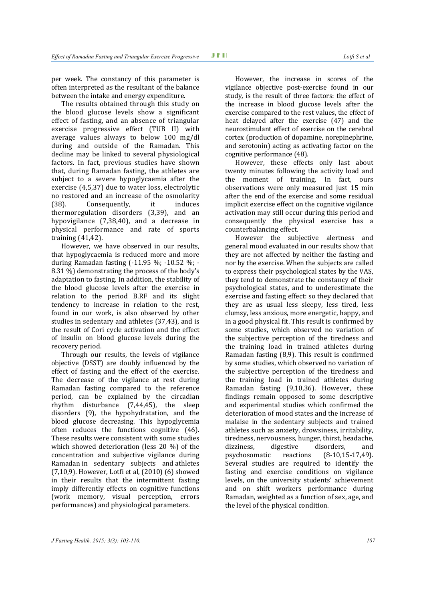per week. The constancy of this parameter is often interpreted as the resultant of the balance between the intake and energy expenditure.

The results obtained through this study on the blood glucose levels show a significant effect of fasting, and an absence of triangular exercise progressive effect (TUB II) with average values always to below 100 mg/dl during and outside of the Ramadan. This decline may be linked to several physiological factors. In fact, previous studies have shown that, during Ramadan fasting, the athletes are subject to a severe hypoglycaemia after the exercise (4,5,37) due to water loss, electrolytic no restored and an increase of the osmolarity<br>
(38). Consequently, it induces Consequently, thermoregulation disorders (3,39), and an hypovigilance (7,38,40), and a decrease in physical performance and rate of sports training (41,42).

However, we have observed in our results, that hypoglycaemia is reduced more and more during Ramadan fasting (-11.95 %; -10.52 %; - 8.31 %) demonstrating the process of the body's adaptation to fasting. In addition, the stability of the blood glucose levels after the exercise in relation to the period B.RF and its slight tendency to increase in relation to the rest, found in our work, is also observed by other studies in sedentary and athletes (37,43), and is the result of Cori cycle activation and the effect of insulin on blood glucose levels during the recovery period.

Through our results, the levels of vigilance objective (DSST) are doubly influenced by the effect of fasting and the effect of the exercise. The decrease of the vigilance at rest during Ramadan fasting compared to the reference period, can be explained by the circadian<br>rhythm disturbance (7.44.45), the sleep rhythm disturbance  $(7,44,45)$ , disorders (9), the hypohydratation, and the blood glucose decreasing. This hypoglycemia often reduces the functions cognitive (46). These results were consistent with some studies which showed deterioration (less 20 %) of the concentration and subjective vigilance during Ramadan in sedentary subjects and athletes (7,10,9). However, Lotfi et al, (2010) (6) showed in their results that the intermittent fasting imply differently effects on cognitive functions (work memory, visual perception, errors performances) and physiological parameters.

However, the increase in scores of the vigilance objective post-exercise found in our study, is the result of three factors: the effect of the increase in blood glucose levels after the exercise compared to the rest values, the effect of heat delayed after the exercise (47) and the neurostimulant effect of exercise on the cerebral cortex (production of dopamine, norepinephrine, and serotonin) acting as activating factor on the cognitive performance (48).

However, these effects only last about twenty minutes following the activity load and the moment of training. In fact, ours observations were only measured just 15 min after the end of the exercise and some residual implicit exercise effect on the cognitive vigilance activation may still occur during this period and consequently the physical exercise has a counterbalancing effect.

However the subjective alertness and general mood evaluated in our results show that they are not affected by neither the fasting and nor by the exercise. When the subjects are called to express their psychological states by the VAS, they tend to demonstrate the constancy of their psychological states, and to underestimate the exercise and fasting effect: so they declared that they are as usual less sleepy, less tired, less clumsy, less anxious, more energetic, happy, and in a good physical fit. This result is confirmed by some studies, which observed no variation of the subjective perception of the tiredness and the training load in trained athletes during Ramadan fasting (8,9). This result is confirmed by some studies, which observed no variation of the subjective perception of the tiredness and the training load in trained athletes during Ramadan fasting (9,10,36). However, these findings remain opposed to some descriptive and experimental studies which confirmed the deterioration of mood states and the increase of malaise in the sedentary subjects and trained athletes such as anxiety, drowsiness, irritability, tiredness, nervousness, hunger, thirst, headache,<br>dizziness, digestive disorders, and dizziness, digestive disorders,<br>psychosomatic reactions (8-10,19  $(8-10,15-17,49)$ . Several studies are required to identify the fasting and exercise conditions on vigilance levels, on the university students' achievement and on shift workers performance during Ramadan, weighted as a function of sex, age, and the level of the physical condition.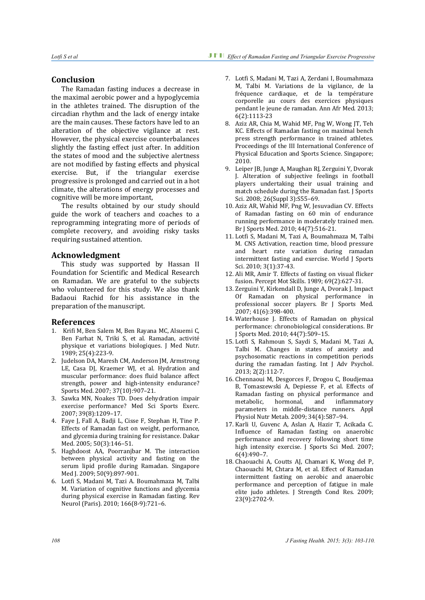### **Conclusion**

The Ramadan fasting induces a decrease in the maximal aerobic power and a hypoglycemia in the athletes trained. The disruption of the circadian rhythm and the lack of energy intake are the main causes. These factors have led to an alteration of the objective vigilance at rest. However, the physical exercise counterbalances slightly the fasting effect just after. In addition the states of mood and the subjective alertness are not modified by fasting effects and physical exercise. But, if the triangular exercise progressive is prolonged and carried out in a hot climate, the alterations of energy processes and cognitive will be more important,

The results obtained by our study should guide the work of teachers and coaches to a reprogramming integrating more of periods of complete recovery, and avoiding risky tasks requiring sustained attention.

#### **Acknowledgment**

This study was supported by Hassan II Foundation for Scientific and Medical Research on Ramadan. We are grateful to the subjects who volunteered for this study. We also thank Badaoui Rachid for his assistance in the preparation of the manuscript.

#### **References**

- 1. Krifi M, Ben Salem M, Ben Rayana MC, Alsuemi C, Ben Farhat N, Triki S, et al. Ramadan, activité physique et variations biologiques. J Med Nutr. 1989; 25(4):223-9.
- 2. Judelson DA, Maresh CM, Anderson JM, Armstrong LE, Casa DJ, Kraemer WJ, et al. Hydration and muscular performance: does fluid balance affect strength, power and high-intensity endurance? Sports Med. 2007; 37(10):907–21.
- 3. Sawka MN, Noakes TD. Does dehydration impair exercise performance? Med Sci Sports Exerc. 2007; 39(8):1209–17.
- 4. Faye J, Fall A, Badji L, Cisse F, Stephan H, Tine P. Effects of Ramadan fast on weight, performance, and glycemia during training for resistance. Dakar Med. 2005; 50(3):146–51.
- 5. Haghdoost AA, Poorranjbar M. The interaction between physical activity and fasting on the serum lipid profile during Ramadan. Singapore Med I. 2009: 50(9):897-901.
- 6. Lotfi S, Madani M, Tazi A. Boumahmaza M, Talbi M. Variation of cognitive functions and glycemia during physical exercise in Ramadan fasting. Rev Neurol (Paris). 2010; 166(8-9):721–6.
- 7. Lotfi S, Madani M, Tazi A, Zerdani I, Boumahmaza M, Talbi M. Variations de la vigilance, de la fréquence cardiaque, et de la température corporelle au cours des exercices physiques pendant le jeune de ramadan. Ann Afr Med. 2013; 6(2):1113-23
- 8. Aziz AR, Chia M, Wahid MF, Png W, Wong JT, Teh KC. Effects of Ramadan fasting on maximal bench press strength performance in trained athletes. Proceedings of the III International Conference of Physical Education and Sports Science. Singapore; 2010.
- 9. Leiper JB, Junge A, Maughan RJ, Zerguini Y, Dvorak J. Alteration of subjective feelings in football players undertaking their usual training and match schedule during the Ramadan fast. J Sports Sci. 2008; 26(Suppl 3):S55–69.
- 10. Aziz AR, Wahid MF, Png W, Jesuvadian CV. Effects of Ramadan fasting on 60 min of endurance running performance in moderately trained men. Br J Sports Med. 2010; 44(7):516-21.
- 11. Lotfi S, Madani M, Tazi A, Boumahmaza M, Talbi M. CNS Activation, reaction time, blood pressure and heart rate variation during ramadan intermittent fasting and exercise. World J Sports Sci. 2010; 3(1):37-43.
- 12. Ali MR, Amir T. Effects of fasting on visual flicker fusion. Percept Mot Skills. 1989; 69(2):627-31.
- 13. Zerguini Y, Kirkendall D, Junge A, Dvorak J. Impact Of Ramadan on physical performance in professional soccer players. Br J Sports Med. 2007; 41(6):398-400.
- 14. Waterhouse J. Effects of Ramadan on physical performance: chronobiological considerations. Br J Sports Med. 2010; 44(7):509–15.
- 15. Lotfi S, Rahmoun S, Saydi S, Madani M, Tazi A, Talbi M. Changes in states of anxiety and psychosomatic reactions in competition periods during the ramadan fasting. Int J Adv Psychol. 2013; 2(2):112-7.
- 16. Chennaoui M, Desgorces F, Drogou C, Boudjemaa B, Tomaszewski A, Depiesse F, et al. Effects of Ramadan fasting on physical performance and<br>metabolic, hormonal, and inflammatory inflammatory parameters in middle-distance runners. Appl Physiol Nutr Metab. 2009; 34(4):587–94.
- 17. Karli U, Guvenc A, Aslan A, Hazir T, Acikada C. Influence of Ramadan fasting on anaerobic performance and recovery following short time high intensity exercise. J Sports Sci Med. 2007; 6(4):490–7.
- 18. Chaouachi A, Coutts AJ, Chamari K, Wong del P, Chaouachi M, Chtara M, et al. Effect of Ramadan intermittent fasting on aerobic and anaerobic performance and perception of fatigue in male elite judo athletes. J Strength Cond Res. 2009; 23(9):2702-9.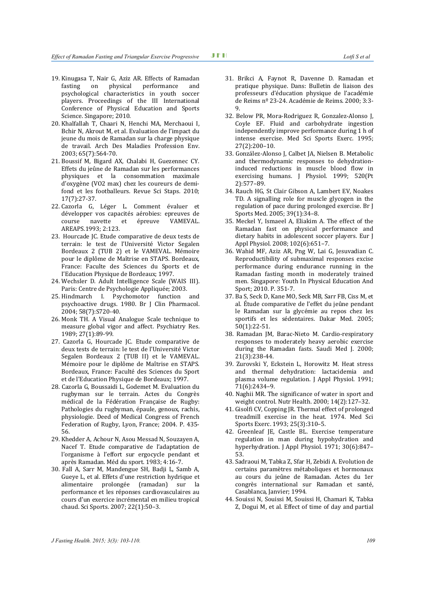- 19. Kinugasa T, Nair G, Aziz AR. Effects of Ramadan performance psychological characteristics in youth soccer players. Proceedings of the III International Conference of Physical Education and Sports Science. Singapore; 2010.
- 20. Khalfallah T, Chaari N, Henchi MA, Merchaoui I, Bchir N, Akrout M, et al. Evaluation de l'impact du jeune du mois de Ramadan sur la charge physique de travail. Arch Des Maladies Profession Env. 2003; 65(7):564-70.
- 21. Boussif M, Bigard AX, Chalabi H, Guezennec CY. Effets du jeûne de Ramadan sur les performances physiques et la consommation maximale d'oxygène (VO2 max) chez les coureurs de demifond et les footballeurs. Revue Sci Staps. 2010; 17(7):27-37.
- 22. Cazorla G, Léger L. Comment évaluer et développer vos capacités aérobies: epreuves de<br>course navette et épreuve VAMEVAL. épreuve AREAPS.1993; 2:123.
- 23. Hourcade JC. Etude comparative de deux tests de terrain: le test de l'Université Victor Segalen Bordeaux 2 (TUB 2) et le VAMEVAL. Mémoire pour le diplôme de Maîtrise en STAPS. Bordeaux, France: Faculte des Sciences du Sports et de I'Education Physique de Bordeaux; 1997.
- 24. Wechsler D. Adult Intelligence Scale (WAIS III). Paris: Centre de Psychologie Appliquée; 2003.
- 25. Hindmarch I. Psychomotor function and psychoactive drugs. 1980. Br J Clin Pharmacol. 2004; 58(7):S720-40.
- 26. Monk TH. A Visual Analogue Scale technique to measure global vigor and affect. Psychiatry Res. 1989; 27(1):89-99.
- 27. Cazorla G, Hourcade JC. Etude comparative de deux tests de terrain: le test de l'Université Victor Segalen Bordeaux 2 (TUB II) et le VAMEVAL. Mémoire pour le diplôme de Maîtrise en STAPS. Bordeaux, France: Faculté des Sciences du Sport et de l'Education Physique de Bordeaux; 1997.
- 28. Cazorla G, Boussaidi L, Godemet M. Evaluation du rugbyman sur le terrain. Actes du Congrès médical de la Fédération Française de Rugby: Pathologies du rugbyman, épaule, genoux, rachis, physiologie. Deed of Medical Congress of French Federation of Rugby, Lyon, France; 2004. P. 435- 56.
- 29. Khedder A, Achour N, Asou Messad N, Souzayen A, Nacef T. Etude comparative de l'adaptation de l'organisme à l'effort sur ergocycle pendant et après Ramadan. Méd du sport. 1983; 4:16-7.
- 30. Fall A, Sarr M, Mandengue SH, Badji L, Samb A, Gueye L, et al. Effets d'une restriction hydrique et alimentaire prolongée (ramadan) sur la performance et les réponses cardiovasculaires au cours d'un exercice incrémental en milieu tropical chaud. Sci Sports. 2007; 22(1):50–3.
- 31. Brikci A, Faynot R, Davenne D. Ramadan et pratique physique. Dans: Bulletin de liaison des professeurs d'éducation physique de l'académie de Reims nº 23-24. Académie de Reims. 2000; 3:3-  $\mathbf{Q}$
- 32. Below PR, Mora-Rodriguez R, Gonzalez-Alonso J, Coyle EF. Fluid and carbohydrate ingestion independently improve performance during 1 h of intense exercise. Med Sci Sports Exerc. 1995; 27(2):200–10.
- 33. González-Alonso J, Calbet JA, Nielsen B. Metabolic and thermodynamic responses to dehydrationinduced reductions in muscle blood flow in exercising humans. J Physiol. 1999; 520(Pt 2):577–89.
- 34. Rauch HG, St Clair Gibson A, Lambert EV, Noakes TD. A signalling role for muscle glycogen in the regulation of pace during prolonged exercise. Br J Sports Med. 2005; 39(1):34–8.
- 35. Meckel Y, Ismaeel A, Eliakim A. The effect of the Ramadan fast on physical performance and dietary habits in adolescent soccer players. Eur J Appl Physiol. 2008; 102(6):651–7.
- 36. Wahid MF, Aziz AR, Png W, Lai G, Jesuvadian C. Reproductibility of submaximal responses excise performance during endurance running in the Ramadan fasting month in moderately trained men. Singapore: Youth In Physical Education And Sport; 2010. P. 351-7.
- 37. Ba S, Seck D, Kane MO, Seck MB, Sarr FB, Ciss M, et al. Étude comparative de l'effet du jeûne pendant le Ramadan sur la glycémie au repos chez les sportifs et les sédentaires. Dakar Med. 2005; 50(1):22-51.
- 38. Ramadan JM, Barac-Nieto M. Cardio-respiratory responses to moderately heavy aerobic exercise during the Ramadan fasts. Saudi Med J. 2000; 21(3):238-44.
- 39. Zurovski Y, Eckstein L, Horowitz M. Heat stress and thermal dehydration: lactacidemia and plasma volume regulation. J Appl Physiol. 1991; 71(6):2434–9.
- 40. Naghii MR. The significance of water in sport and weight control. Nutr Health. 2000; 14(2):127–32.
- 41. Gisolfi CV, Copping JR. Thermal effect of prolonged treadmill exercise in the heat. 1974. Med Sci Sports Exerc. 1993; 25(3):310–5.
- 42. Greenleaf JE, Castle BL. Exercise temperature regulation in man during hypohydration and hyperhydration. J Appl Physiol. 1971; 30(6):847– 53.
- 43. Sadraoui M, Tabka Z, Sfar H, Zebidi A. Evolution de certains paramètres métaboliques et hormonaux au cours du jeûne de Ramadan. Actes du 1er congrès international sur Ramadan et santé, Casablanca, Janvier; 1994.
- 44. Souissi N, Souissi M, Souissi H, Chamari K, Tabka Z, Dogui M, et al. Effect of time of day and partial